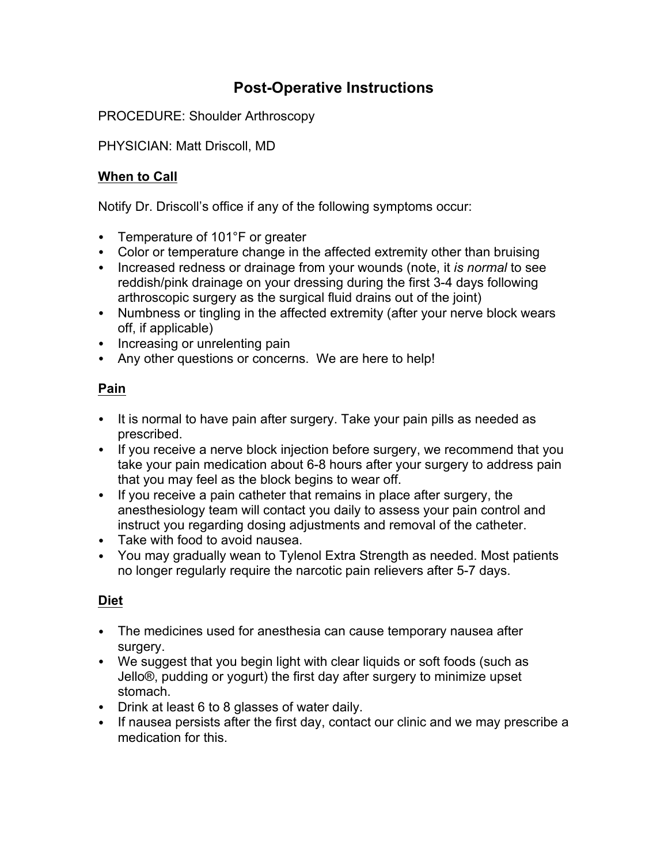# **Post-Operative Instructions**

PROCEDURE: Shoulder Arthroscopy

PHYSICIAN: Matt Driscoll, MD

## **When to Call**

Notify Dr. Driscoll's office if any of the following symptoms occur:

- Temperature of 101°F or greater
- Color or temperature change in the affected extremity other than bruising
- Increased redness or drainage from your wounds (note, it *is normal* to see reddish/pink drainage on your dressing during the first 3-4 days following arthroscopic surgery as the surgical fluid drains out of the joint)
- Numbness or tingling in the affected extremity (after your nerve block wears off, if applicable)
- Increasing or unrelenting pain
- Any other questions or concerns. We are here to help!

## **Pain**

- It is normal to have pain after surgery. Take your pain pills as needed as prescribed.
- If you receive a nerve block injection before surgery, we recommend that you take your pain medication about 6-8 hours after your surgery to address pain that you may feel as the block begins to wear off.
- If you receive a pain catheter that remains in place after surgery, the anesthesiology team will contact you daily to assess your pain control and instruct you regarding dosing adjustments and removal of the catheter.
- Take with food to avoid nausea.
- You may gradually wean to Tylenol Extra Strength as needed. Most patients no longer regularly require the narcotic pain relievers after 5-7 days.

### **Diet**

- The medicines used for anesthesia can cause temporary nausea after surgery.
- We suggest that you begin light with clear liquids or soft foods (such as Jello®, pudding or yogurt) the first day after surgery to minimize upset stomach.
- Drink at least 6 to 8 glasses of water daily.
- If nausea persists after the first day, contact our clinic and we may prescribe a medication for this.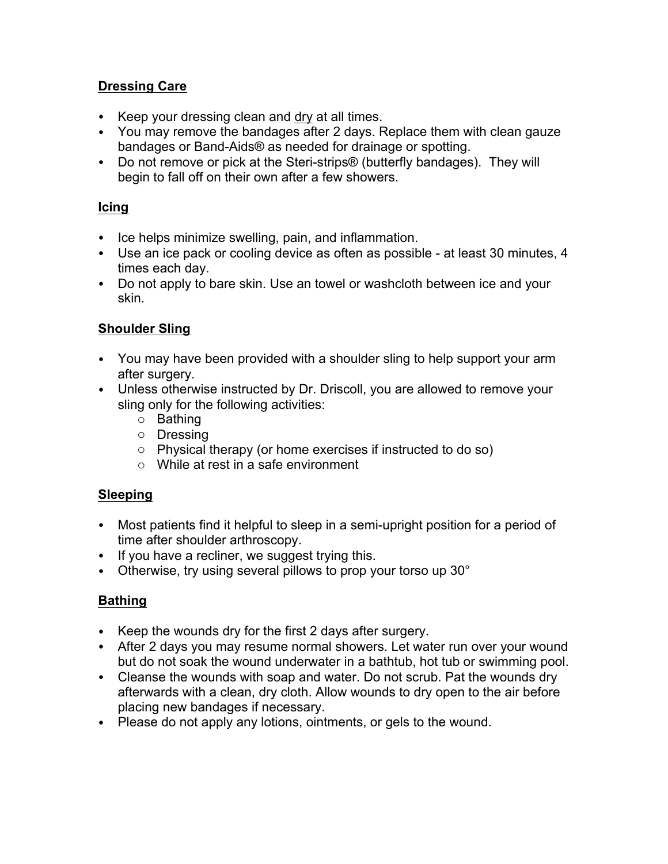#### **Dressing Care**

- Keep your dressing clean and dry at all times.
- You may remove the bandages after 2 days. Replace them with clean gauze bandages or Band-Aids® as needed for drainage or spotting.
- Do not remove or pick at the Steri-strips® (butterfly bandages). They will begin to fall off on their own after a few showers.

#### **Icing**

- Ice helps minimize swelling, pain, and inflammation.
- Use an ice pack or cooling device as often as possible at least 30 minutes, 4 times each day.
- Do not apply to bare skin. Use an towel or washcloth between ice and your skin.

#### **Shoulder Sling**

- You may have been provided with a shoulder sling to help support your arm after surgery.
- Unless otherwise instructed by Dr. Driscoll, you are allowed to remove your sling only for the following activities:
	- o Bathing
	- o Dressing
	- o Physical therapy (or home exercises if instructed to do so)
	- o While at rest in a safe environment

### **Sleeping**

- Most patients find it helpful to sleep in a semi-upright position for a period of time after shoulder arthroscopy.
- If you have a recliner, we suggest trying this.
- Otherwise, try using several pillows to prop your torso up 30°

## **Bathing**

- Keep the wounds dry for the first 2 days after surgery.
- After 2 days you may resume normal showers. Let water run over your wound but do not soak the wound underwater in a bathtub, hot tub or swimming pool.
- Cleanse the wounds with soap and water. Do not scrub. Pat the wounds dry afterwards with a clean, dry cloth. Allow wounds to dry open to the air before placing new bandages if necessary.
- Please do not apply any lotions, ointments, or gels to the wound.